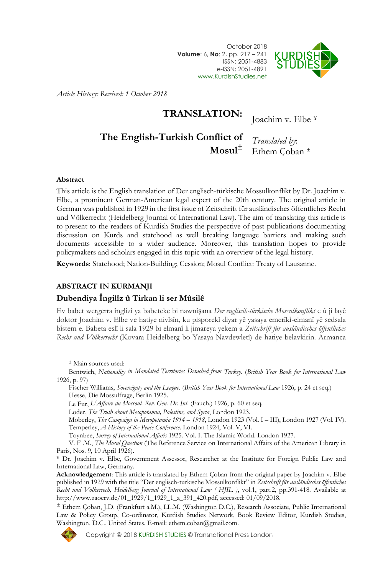



*Article History: Received: 1 October 2018*

## **TRANSLATION:**

Joachim v. Elbe ¥

# **The English-Turkish Conflict of**

**Mosul<sup>±</sup>** Ethem Çoban <sup>±</sup> *Translated by*:

#### **Abstract**

This article is the English translation of Der englisch-türkische Mossulkonflikt by Dr. Joachim v. Elbe, a prominent German-American legal expert of the 20th century. The original article in German was published in 1929 in the first issue of Zeitschrift für ausländisches öffentliches Recht und Völkerrecht (Heidelberg Journal of International Law). The aim of translating this article is to present to the readers of Kurdish Studies the perspective of past publications documenting discussion on Kurds and statehood as well breaking language barriers and making such documents accessible to a wider audience. Moreover, this translation hopes to provide policymakers and scholars engaged in this topic with an overview of the legal history.

**Keywords**: Statehood; Nation-Building; Cession; Mosul Conflict: Treaty of Lausanne.

#### **ABSTRACT IN KURMANJI**

#### **Dubendiya Îngilîz û Tirkan li ser Mûsilê**

Ev babet wergerra înglîzî ya babeteke bi nawnîşana *Der engliscih-türkische Mossulkonflikt* e û ji layê doktor Joachim v. Elbe ve hatiye nivîsîn, ku pisporekî diyar yê yasaya emerîkî-elmanî yê sedsala bîstem e. Babeta eslî li sala 1929 bi elmanî li jimareya yekem a *Zeitschrift für ausländisches öffentliches Recht und Völkerrecht* (Kovara Heidelberg bo Yasaya Navdewletî) de hatiye belavkirin. Armanca

 $\overline{a}$ 

Moberley, *The Campaign in Mesopotamia 1914 – 1918*, London 1923 (Vol. I – III), London 1927 (Vol. IV). Temperley, *A History of the Peace Conference*. London 1924, Vol. V, VI.

Toynbee, *Survey of International Affaris* 1925. Vol. I. The Islamic World. London 1927.

 $\pm$  Ethem Coban, J.D. (Frankfurt a.M.), LL.M. (Washington D.C.), Research Associate, Public International Law & Policy Group, Co-ordinator, Kurdish Studies Network, Book Review Editor, Kurdish Studies, Washington, D.C., United States. E-mail: ethem.coban@gmail.com.



<sup>±</sup> Main sources used:

Bentwich, *Nationality in Mandated Territories Detached from Turkey*. (*British Year Book for International Law* 1926, p. 97)

Fischer Williams, *Sovereignty and the League*. (*British Year Book for International Law* 1926, p. 24 et seq.) Hesse, Die Mossulfrage, Berlin 1925.

Le Fur, *L'Affaire du Mossoul. Rev. Gen. Dr. Int*. (Fauch.) 1926, p. 60 et seq.

Loder, *The Truth about Mesopotamia, Palestine, and Syria*, London 1923.

V. F .M., *The Mosul Question* (The Reference Service on International Affairs of the American Library in Paris, Nos. 9, 10 April 1926).

<sup>¥</sup> Dr. Joachim v. Elbe, Government Assessor, Researcher at the Institute for Foreign Public Law and International Law, Germany.

**Acknowledgement**: This article is translated by Ethem Çoban from the original paper by Joachim v. Elbe published in 1929 with the title "Der englisch-turkische Mossulkonflikt" in *Zeitschrift für ausländisches öffentliches Recht und Völkerrech, Heidelberg Journal of International Law ( HJIL )*, vol.1, part.2, pp.391-418. Available at http://www.zaoerv.de/01\_1929/1\_1929\_1\_a\_391\_420.pdf, accessed: 01/09/2018.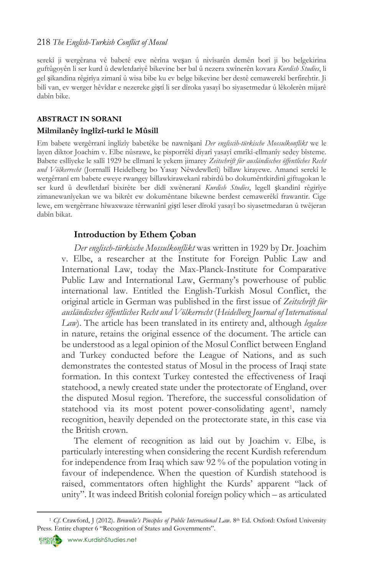#### 218 *The English-Turkish Conflict of Mosul*

serekî ji wergêrana vê babetê ewe nêrîna weşan û nivîsarên demên borî ji bo belgekirina guftûgoyên li ser kurd û dewletdariyê bikevine ber bal û nezera xwînerên kovara *Kurdish Studies*, li gel şikandina rêgirîya zimanî û wisa bibe ku ev belge bikevine ber destê cemawerekî berfirehtir. Ji bilî van, ev werger hêvîdar e nezereke giştî li ser dîroka yasayî bo siyasetmedar û lêkolerên mijarê dabîn bike.

#### **ABSTRACT IN SORANI**

#### **Milmilanêy înglîzî-turkî le Mûsill**

Em babete wergêrranî înglîzîy babetêke be nawnîşanî *Der engliscih-türkische Mossulkonflikt* we le layen diktor Joachim v. Elbe nûsrawe, ke pisporrêkî diyarî yasayî emrîkî-ellmanîy sedey bîsteme. Babete esllîyeke le sallî 1929 be ellmanî le yekem jimarey *Zeitschrift für ausländisches öffentliches Recht und Völkerrecht* (Jorrnallî Heidelberg bo Yasay Nêwdewlletî) billaw kirayewe. Amancî serekî le wergêrranî em babete eweye rwangey billawkirawekanî rabirdû bo dokumêntkirdinî giftugokan le ser kurd û dewlletdarî bixirête ber dîdî xwêneranî *Kurdish Studies*, legell şkandinî rêgirîye zimanewanîyekan we wa bikrêt ew dokumêntane bikewne berdest cemawerêkî frawantir. Cige lewe, em wergêrrane hîwaxwaze têrrwanînî giştî leser dîrokî yasayî bo siyasetmedaran û twêjeran dabîn bikat.

## **Introduction by Ethem Çoban**

*Der englisch-türkische Mossulkonflikt* was written in 1929 by Dr. Joachim v. Elbe, a researcher at the Institute for Foreign Public Law and International Law, today the Max-Planck-Institute for Comparative Public Law and International Law, Germany's powerhouse of public international law. Entitled the English-Turkish Mosul Conflict, the original article in German was published in the first issue of *Zeitschrift für ausländisches öffentliches Recht und Völkerrecht* (*Heidelberg Journal of International Law*). The article has been translated in its entirety and, although *legalese* in nature, retains the original essence of the document. The article can be understood as a legal opinion of the Mosul Conflict between England and Turkey conducted before the League of Nations, and as such demonstrates the contested status of Mosul in the process of Iraqi state formation. In this context Turkey contested the effectiveness of Iraqi statehood, a newly created state under the protectorate of England, over the disputed Mosul region. Therefore, the successful consolidation of statehood via its most potent power-consolidating agent<sup>1</sup>, namely recognition, heavily depended on the protectorate state, in this case via the British crown.

The element of recognition as laid out by Joachim v. Elbe, is particularly interesting when considering the recent Kurdish referendum for independence from Iraq which saw 92 % of the population voting in favour of independence. When the question of Kurdish statehood is raised, commentators often highlight the Kurds' apparent "lack of unity". It was indeed British colonial foreign policy which – as articulated



 $\overline{a}$ <sup>1</sup> *Cf*. Crawford, J (2012). *Brownlie's Pinciples of Public International Law*. 8th Ed. Oxford: Oxford University Press. Entire chapter 6 "Recognition of States and Governments".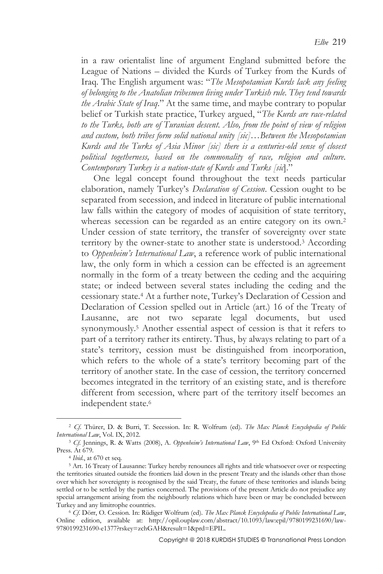in a raw orientalist line of argument England submitted before the League of Nations – divided the Kurds of Turkey from the Kurds of Iraq. The English argument was: "*The Mesopotamian Kurds lack any feeling of belonging to the Anatolian tribesmen living under Turkish rule. They tend towards the Arabic State of Iraq*." At the same time, and maybe contrary to popular belief or Turkish state practice, Turkey argued, "*The Kurds are race-related to the Turks, both are of Turanian descent. Also, from the point of view of religion and custom, both tribes form solid national unity [sic]…Between the Mesopotamian Kurds and the Turks of Asia Minor [sic] there is a centuries-old sense of closest political togetherness, based on the commonality of race, religion and culture. Contemporary Turkey is a nation-state of Kurds and Turks [sic*]."

One legal concept found throughout the text needs particular elaboration, namely Turkey's *Declaration of Cession*. Cession ought to be separated from secession, and indeed in literature of public international law falls within the category of modes of acquisition of state territory, whereas secession can be regarded as an entire category on its own.<sup>2</sup> Under cession of state territory, the transfer of sovereignty over state territory by the owner-state to another state is understood.<sup>3</sup> According to *Oppenheim's International Law*, a reference work of public international law, the only form in which a cession can be effected is an agreement normally in the form of a treaty between the ceding and the acquiring state; or indeed between several states including the ceding and the cessionary state.<sup>4</sup> At a further note, Turkey's Declaration of Cession and Declaration of Cession spelled out in Article (art.) 16 of the Treaty of Lausanne, are not two separate legal documents, but used synonymously.<sup>5</sup> Another essential aspect of cession is that it refers to part of a territory rather its entirety. Thus, by always relating to part of a state's territory, cession must be distinguished from incorporation, which refers to the whole of a state's territory becoming part of the territory of another state. In the case of cession, the territory concerned becomes integrated in the territory of an existing state, and is therefore different from secession, where part of the territory itself becomes an independent state.<sup>6</sup>

<sup>2</sup> *Cf*. Thürer, D. & Burri, T. Secession. In: R. Wolfrum (ed). *The Max Planck Encyclopedia of Public International Law*, Vol. IX, 2012.

<sup>&</sup>lt;sup>3</sup> Cf. Jennings, R. & Watts (2008), A. Oppenheim's International Law, <sup>9th</sup> Ed Oxford: Oxford University Press. At 679.

<sup>4</sup> *Ibid*., at 670 et seq.

<sup>&</sup>lt;sup>5</sup> Art. 16 Treaty of Lausanne: Turkey hereby renounces all rights and title whatsoever over or respecting the territories situated outside the frontiers laid down in the present Treaty and the islands other than those over which her sovereignty is recognised by the said Treaty, the future of these territories and islands being settled or to be settled by the parties concerned. The provisions of the present Article do not prejudice any special arrangement arising from the neighbourly relations which have been or may be concluded between Turkey and any limitrophe countries.

<sup>6</sup> *Cf*. Dörr, O. Cession. In: Rüdiger Wolfrum (ed). *The Max Planck Encyclopedia of Public International Law*, Online edition, available at: [http://opil.ouplaw.com/abstract/10.1093/law:epil/9780199231690/law-](http://opil.ouplaw.com/abstract/10.1093/law:epil/9780199231690/law-9780199231690-e1377?rskey=zchGAH&result=1&prd=EPIL)[9780199231690-e1377?rskey=zchGAH&result=1&prd=EPIL.](http://opil.ouplaw.com/abstract/10.1093/law:epil/9780199231690/law-9780199231690-e1377?rskey=zchGAH&result=1&prd=EPIL)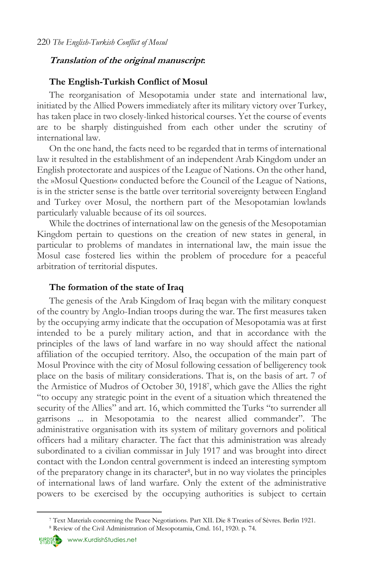## **Translation of the original manuscript:**

#### **The English-Turkish Conflict of Mosul**

The reorganisation of Mesopotamia under state and international law, initiated by the Allied Powers immediately after its military victory over Turkey, has taken place in two closely-linked historical courses. Yet the course of events are to be sharply distinguished from each other under the scrutiny of international law.

On the one hand, the facts need to be regarded that in terms of international law it resulted in the establishment of an independent Arab Kingdom under an English protectorate and auspices of the League of Nations. On the other hand, the »Mosul Question« conducted before the Council of the League of Nations, is in the stricter sense is the battle over territorial sovereignty between England and Turkey over Mosul, the northern part of the Mesopotamian lowlands particularly valuable because of its oil sources.

While the doctrines of international law on the genesis of the Mesopotamian Kingdom pertain to questions on the creation of new states in general, in particular to problems of mandates in international law, the main issue the Mosul case fostered lies within the problem of procedure for a peaceful arbitration of territorial disputes.

#### **The formation of the state of Iraq**

The genesis of the Arab Kingdom of Iraq began with the military conquest of the country by Anglo-Indian troops during the war. The first measures taken by the occupying army indicate that the occupation of Mesopotamia was at first intended to be a purely military action, and that in accordance with the principles of the laws of land warfare in no way should affect the national affiliation of the occupied territory. Also, the occupation of the main part of Mosul Province with the city of Mosul following cessation of belligerency took place on the basis of military considerations. That is, on the basis of art. 7 of the Armistice of Mudros of October 30, 1918<sup>7</sup> , which gave the Allies the right "to occupy any strategic point in the event of a situation which threatened the security of the Allies" and art. 16, which committed the Turks "to surrender all garrisons ... in Mesopotamia to the nearest allied commander". The administrative organisation with its system of military governors and political officers had a military character. The fact that this administration was already subordinated to a civilian commissar in July 1917 and was brought into direct contact with the London central government is indeed an interesting symptom of the preparatory change in its character<sup>8</sup> , but in no way violates the principles of international laws of land warfare. Only the extent of the administrative powers to be exercised by the occupying authorities is subject to certain



<sup>7</sup> Text Materials concerning the Peace Negotiations. Part XII. Die 8 Treaties of Sèvres. Berlin 1921.

<sup>8</sup> Review of the Civil Administration of Mesopotamia, Cmd. 161, 1920. p. 74.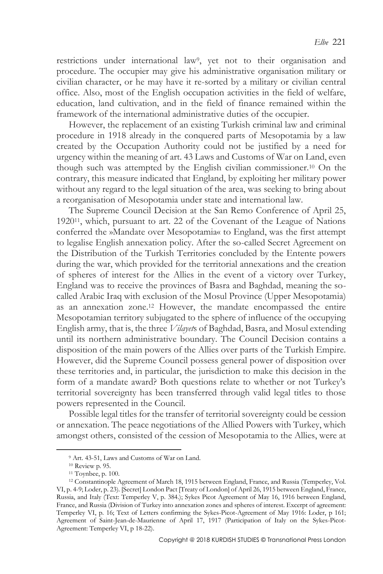restrictions under international law<sup>9</sup>, yet not to their organisation and procedure. The occupier may give his administrative organisation military or civilian character, or he may have it re-sorted by a military or civilian central office. Also, most of the English occupation activities in the field of welfare, education, land cultivation, and in the field of finance remained within the framework of the international administrative duties of the occupier.

However, the replacement of an existing Turkish criminal law and criminal procedure in 1918 already in the conquered parts of Mesopotamia by a law created by the Occupation Authority could not be justified by a need for urgency within the meaning of art. 43 Laws and Customs of War on Land, even though such was attempted by the English civilian commissioner.<sup>10</sup> On the contrary, this measure indicated that England, by exploiting her military power without any regard to the legal situation of the area, was seeking to bring about a reorganisation of Mesopotamia under state and international law.

The Supreme Council Decision at the San Remo Conference of April 25, 192011, which, pursuant to art. 22 of the Covenant of the League of Nations conferred the »Mandate over Mesopotamia« to England, was the first attempt to legalise English annexation policy. After the so-called Secret Agreement on the Distribution of the Turkish Territories concluded by the Entente powers during the war, which provided for the territorial annexations and the creation of spheres of interest for the Allies in the event of a victory over Turkey, England was to receive the provinces of Basra and Baghdad, meaning the socalled Arabic Iraq with exclusion of the Mosul Province (Upper Mesopotamia) as an annexation zone.<sup>12</sup> However, the mandate encompassed the entire Mesopotamian territory subjugated to the sphere of influence of the occupying English army, that is, the three *Vilayet*s of Baghdad, Basra, and Mosul extending until its northern administrative boundary. The Council Decision contains a disposition of the main powers of the Allies over parts of the Turkish Empire. However, did the Supreme Council possess general power of disposition over these territories and, in particular, the jurisdiction to make this decision in the form of a mandate award? Both questions relate to whether or not Turkey's territorial sovereignty has been transferred through valid legal titles to those powers represented in the Council.

Possible legal titles for the transfer of territorial sovereignty could be cession or annexation. The peace negotiations of the Allied Powers with Turkey, which amongst others, consisted of the cession of Mesopotamia to the Allies, were at

<sup>9</sup> Art. 43-51, Laws and Customs of War on Land.

<sup>10</sup> Review p. 95.

<sup>11</sup> Toynbee, p. 100.

<sup>12</sup> Constantinople Agreement of March 18, 1915 between England, France, and Russia (Temperley, Vol. VI, p. 4-9; Loder, p. 23). [Secret] London Pact [Treaty of London] of April 26, 1915 between England, France, Russia, and Italy (Text: Temperley V, p. 384.); Sykes Picot Agreement of May 16, 1916 between England, France, and Russia (Division of Turkey into annexation zones and spheres of interest. Excerpt of agreement: Temperley VI, p. 16; Text of Letters confirming the Sykes-Picot-Agreement of May 1916: Loder, p 161; Agreement of Saint-Jean-de-Maurienne of April 17, 1917 (Participation of Italy on the Sykes-Picot-Agreement: Temperley VI, p 18-22).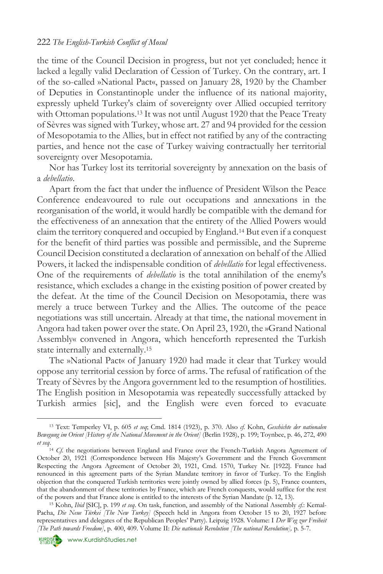#### 222 *The English-Turkish Conflict of Mosul*

the time of the Council Decision in progress, but not yet concluded; hence it lacked a legally valid Declaration of Cession of Turkey. On the contrary, art. I of the so-called »National Pact«, passed on January 28, 1920 by the Chamber of Deputies in Constantinople under the influence of its national majority, expressly upheld Turkey's claim of sovereignty over Allied occupied territory with Ottoman populations.<sup>13</sup> It was not until August 1920 that the Peace Treaty of Sèvres was signed with Turkey, whose art. 27 and 94 provided for the cession of Mesopotamia to the Allies, but in effect not ratified by any of the contracting parties, and hence not the case of Turkey waiving contractually her territorial sovereignty over Mesopotamia.

Nor has Turkey lost its territorial sovereignty by annexation on the basis of a *debellatio*.

Apart from the fact that under the influence of President Wilson the Peace Conference endeavoured to rule out occupations and annexations in the reorganisation of the world, it would hardly be compatible with the demand for the effectiveness of an annexation that the entirety of the Allied Powers would claim the territory conquered and occupied by England.<sup>14</sup> But even if a conquest for the benefit of third parties was possible and permissible, and the Supreme Council Decision constituted a declaration of annexation on behalf of the Allied Powers, it lacked the indispensable condition of *debellatio* for legal effectiveness. One of the requirements of *debellatio* is the total annihilation of the enemy's resistance, which excludes a change in the existing position of power created by the defeat. At the time of the Council Decision on Mesopotamia, there was merely a truce between Turkey and the Allies. The outcome of the peace negotiations was still uncertain. Already at that time, the national movement in Angora had taken power over the state. On April 23, 1920, the »Grand National Assembly« convened in Angora, which henceforth represented the Turkish state internally and externally.<sup>15</sup>

The »National Pact« of January 1920 had made it clear that Turkey would oppose any territorial cession by force of arms. The refusal of ratification of the Treaty of Sèvres by the Angora government led to the resumption of hostilities. The English position in Mesopotamia was repeatedly successfully attacked by Turkish armies [sic], and the English were even forced to evacuate



<sup>13</sup> Text: Temperley VI, p. 605 *et seq*; Cmd. 1814 (1923), p. 370. Also *cf.* Kohn, *Geschichte der nationalen Bewegung im Orient [History of the National Movement in the Orient]* (Berlin 1928), p. 199; Toynbee, p. 46, 272, 490 *et seq*.

<sup>&</sup>lt;sup>14</sup> *Cf.* the negotiations between England and France over the French-Turkish Angora Agreement of October 20, 1921 (Correspondence between His Majesty's Government and the French Government Respecting the Angora Agreement of October 20, 1921, Cmd. 1570, Turkey Nr. [1922]. France had renounced in this agreement parts of the Syrian Mandate territory in favor of Turkey. To the English objection that the conquered Turkish territories were jointly owned by allied forces (p. 5), France counters, that the abandonment of these territories by France, which are French conquests, would suffice for the rest of the powers and that France alone is entitled to the interests of the Syrian Mandate (p. 12, 13).

<sup>15</sup> Kohn, *Ibid* [SIC], p. 199 *et seq*. On task, function, and assembly of the National Assembly *cf.*: Kemal-Pacha, *Die Neue Türkei [The New Turkey]* (Speech held in Angora from October 15 to 20, 1927 before representatives and delegates of the Republican Peoples' Party). Leipzig 1928. Volume: I *Der Weg zur Freiheit [The Path towards Freedom]*, p. 400, 409. Volume II: *Die nationale Revolution [The national Revolution],* p. 5-7.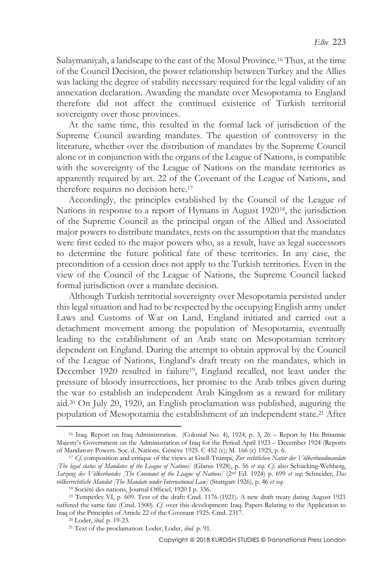Sulaymaniyah, a landscape to the east of the Mosul Province.<sup>16</sup> Thus, at the time of the Council Decision, the power relationship between Turkey and the Allies was lacking the degree of stability necessary required for the legal validity of an annexation declaration. Awarding the mandate over Mesopotamia to England therefore did not affect the continued existence of Turkish territorial sovereignty over those provinces.

At the same time, this resulted in the formal lack of jurisdiction of the Supreme Council awarding mandates. The question of controversy in the literature, whether over the distribution of mandates by the Supreme Council alone or in conjunction with the organs of the League of Nations, is compatible with the sovereignty of the League of Nations on the mandate territories as apparently required by art. 22 of the Covenant of the League of Nations, and therefore requires no decision here.<sup>17</sup>

Accordingly, the principles established by the Council of the League of Nations in response to a report of Hymans in August 192018, the jurisdiction of the Supreme Council as the principal organ of the Allied and Associated major powers to distribute mandates, rests on the assumption that the mandates were first ceded to the major powers who, as a result, have as legal successors to determine the future political fate of these territories. In any case, the precondition of a cession does not apply to the Turkish territories. Even in the view of the Council of the League of Nations, the Supreme Council lacked formal jurisdiction over a mandate decision.

Although Turkish territorial sovereignty over Mesopotamia persisted under this legal situation and had to be respected by the occupying English army under Laws and Customs of War on Land, England initiated and carried out a detachment movement among the population of Mesopotamia, eventually leading to the establishment of an Arab state on Mesopotamian territory dependent on England. During the attempt to obtain approval by the Council of the League of Nations, England's draft treaty on the mandates, which in December 1920 resulted in failure<sup>19</sup>, England recalled, not least under the pressure of bloody insurrections, her promise to the Arab tribes given during the war to establish an independent Arab Kingdom as a reward for military aid.<sup>20</sup> On July 20, 1920, an English proclamation was published, auguring the population of Mesopotamia the establishment of an independent state.<sup>21</sup> After

<sup>&</sup>lt;sup>16</sup> Iraq. Report on Iraq Administration. (Colonial No. 4), 1924, p. 3, 26 - Report by His Britannic Majesty's Government on the Administration of Iraq for the Period April 1923 – December 1924 (Reports of Mandatory Powers. Soc. d. Nations. Génève 1925. C 452 (c); M. 166 (c) 1925, p. 6.

<sup>17</sup> *Cf*. composition and critique of the views at Gsell-Trümpi, *Zur rechtlichen Natur der Völkerbundmandate [The legal status of Mandates of the League of Nations]* (Glarus 1928), p. 56 *et seq*. *Cf*. also Schücking-Wehberg, *Satzung des Völkerbundes [The Covenant of the League of Nations]* (2nd Ed. 1924) p. 699 *et seq*; Schneider, *Das völkerrechtliche Mandat [The Mandate under International Law]* (Stuttgart 1926), p. 46 *et seq*.

<sup>18</sup> Société des nations, Journal Officiel, 1920 I p. 336.

<sup>19</sup> Temperley VI, p. 609. Text of the draft: Cmd. 1176 (1921). A new draft treaty dating August 1921 suffered the same fate (Cmd. 1500). *Cf*. over this development: Iraq. Papers Relating to the Application to Iraq of the Principles of Article 22 of the Covenant 1925. Cmd. 2317.

<sup>20</sup> Loder, *ibid*. p. 19-23.

<sup>21</sup> Text of the proclamation: Loder, Loder, *ibid*. p. 91.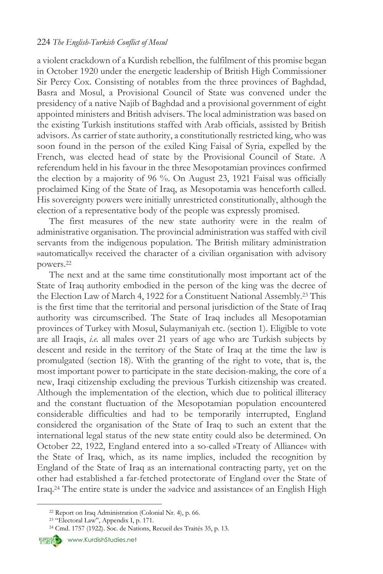a violent crackdown of a Kurdish rebellion, the fulfilment of this promise began in October 1920 under the energetic leadership of British High Commissioner Sir Percy Cox. Consisting of notables from the three provinces of Baghdad, Basra and Mosul, a Provisional Council of State was convened under the presidency of a native Najib of Baghdad and a provisional government of eight appointed ministers and British advisers. The local administration was based on the existing Turkish institutions staffed with Arab officials, assisted by British advisors. As carrier of state authority, a constitutionally restricted king, who was soon found in the person of the exiled King Faisal of Syria, expelled by the French, was elected head of state by the Provisional Council of State. A referendum held in his favour in the three Mesopotamian provinces confirmed the election by a majority of 96 %. On August 23, 1921 Faisal was officially proclaimed King of the State of Iraq, as Mesopotamia was henceforth called. His sovereignty powers were initially unrestricted constitutionally, although the election of a representative body of the people was expressly promised.

The first measures of the new state authority were in the realm of administrative organisation. The provincial administration was staffed with civil servants from the indigenous population. The British military administration »automatically« received the character of a civilian organisation with advisory powers.<sup>22</sup>

The next and at the same time constitutionally most important act of the State of Iraq authority embodied in the person of the king was the decree of the Election Law of March 4, 1922 for a Constituent National Assembly.<sup>23</sup> This is the first time that the territorial and personal jurisdiction of the State of Iraq authority was circumscribed. The State of Iraq includes all Mesopotamian provinces of Turkey with Mosul, Sulaymaniyah etc. (section 1). Eligible to vote are all Iraqis, *i.e.* all males over 21 years of age who are Turkish subjects by descent and reside in the territory of the State of Iraq at the time the law is promulgated (section 18). With the granting of the right to vote, that is, the most important power to participate in the state decision-making, the core of a new, Iraqi citizenship excluding the previous Turkish citizenship was created. Although the implementation of the election, which due to political illiteracy and the constant fluctuation of the Mesopotamian population encountered considerable difficulties and had to be temporarily interrupted, England considered the organisation of the State of Iraq to such an extent that the international legal status of the new state entity could also be determined. On October 22, 1922, England entered into a so-called »Treaty of Alliance« with the State of Iraq, which, as its name implies, included the recognition by England of the State of Iraq as an international contracting party, yet on the other had established a far-fetched protectorate of England over the State of Iraq.<sup>24</sup> The entire state is under the »advice and assistance« of an English High



<sup>22</sup> Report on Iraq Administration (Colonial Nr. 4), p. 66.

<sup>23</sup> "Electoral Law", Appendix I, p. 171.

<sup>&</sup>lt;sup>24</sup> Cmd. 1757 (1922). Soc. de Nations, Recueil des Traités 35, p. 13.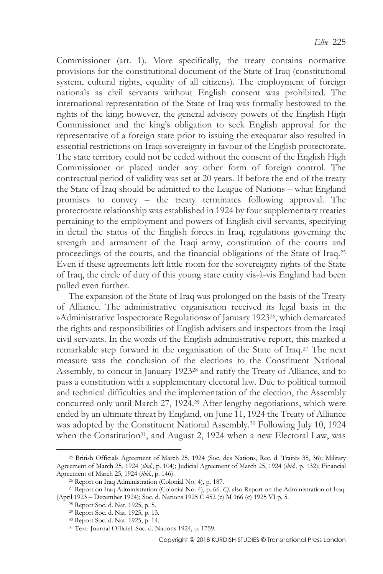Commissioner (art. 1). More specifically, the treaty contains normative provisions for the constitutional document of the State of Iraq (constitutional system, cultural rights, equality of all citizens). The employment of foreign nationals as civil servants without English consent was prohibited. The international representation of the State of Iraq was formally bestowed to the rights of the king; however, the general advisory powers of the English High Commissioner and the king's obligation to seek English approval for the representative of a foreign state prior to issuing the exequatur also resulted in essential restrictions on Iraqi sovereignty in favour of the English protectorate. The state territory could not be ceded without the consent of the English High Commissioner or placed under any other form of foreign control. The contractual period of validity was set at 20 years. If before the end of the treaty the State of Iraq should be admitted to the League of Nations – what England promises to convey – the treaty terminates following approval. The protectorate relationship was established in 1924 by four supplementary treaties pertaining to the employment and powers of English civil servants, specifying in detail the status of the English forces in Iraq, regulations governing the strength and armament of the Iraqi army, constitution of the courts and proceedings of the courts, and the financial obligations of the State of Iraq.<sup>25</sup> Even if these agreements left little room for the sovereignty rights of the State of Iraq, the circle of duty of this young state entity vis-à-vis England had been pulled even further.

The expansion of the State of Iraq was prolonged on the basis of the Treaty of Alliance. The administrative organisation received its legal basis in the »Administrative Inspectorate Regulations« of January 192326, which demarcated the rights and responsibilities of English advisers and inspectors from the Iraqi civil servants. In the words of the English administrative report, this marked a remarkable step forward in the organisation of the State of Iraq.<sup>27</sup> The next measure was the conclusion of the elections to the Constituent National Assembly, to concur in January 1923<sup>28</sup> and ratify the Treaty of Alliance, and to pass a constitution with a supplementary electoral law. Due to political turmoil and technical difficulties and the implementation of the election, the Assembly concurred only until March 27, 1924.<sup>29</sup> After lengthy negotiations, which were ended by an ultimate threat by England, on June 11, 1924 the Treaty of Alliance was adopted by the Constituent National Assembly.<sup>30</sup> Following July 10, 1924 when the Constitution<sup>31</sup>, and August 2, 1924 when a new Electoral Law, was

<sup>25</sup> British Officials Agreement of March 25, 1924 (Soc. des Nations, Rec. d. Traités 35, 36); Military Agreement of March 25, 1924 (*ibid*., p. 104); Judicial Agreement of March 25, 1924 (*ibid.*, p. 132); Financial Agreement of March 25, 1924 (*ibid*., p. 146).

<sup>26</sup> Report on Iraq Administration (Colonial No. 4), p. 187.

<sup>27</sup> Report on Iraq Administration (Colonial No. 4), p. 66. *Cf*. also Report on the Administration of Iraq. (April 1923 – December 1924); Soc. d. Nations 1925 C 452 (c) M 166 (c) 1925 VI p. 5.

<sup>28</sup> Report Soc. d. Nat. 1925, p. 5.

<sup>29</sup> Report Soc. d. Nat. 1925, p. 13.

<sup>30</sup> Report Soc. d. Nat. 1925, p. 14.

<sup>31</sup> Text: Journal Officiel. Soc. d. Nations 1924, p. 1759.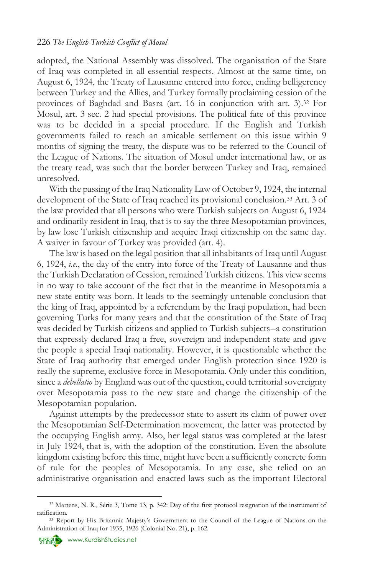adopted, the National Assembly was dissolved. The organisation of the State of Iraq was completed in all essential respects. Almost at the same time, on August 6, 1924, the Treaty of Lausanne entered into force, ending belligerency between Turkey and the Allies, and Turkey formally proclaiming cession of the provinces of Baghdad and Basra (art. 16 in conjunction with art. 3).<sup>32</sup> For Mosul, art. 3 sec. 2 had special provisions. The political fate of this province was to be decided in a special procedure. If the English and Turkish governments failed to reach an amicable settlement on this issue within 9 months of signing the treaty, the dispute was to be referred to the Council of the League of Nations. The situation of Mosul under international law, or as the treaty read, was such that the border between Turkey and Iraq, remained unresolved.

With the passing of the Iraq Nationality Law of October 9, 1924, the internal development of the State of Iraq reached its provisional conclusion.<sup>33</sup> Art. 3 of the law provided that all persons who were Turkish subjects on August 6, 1924 and ordinarily resident in Iraq, that is to say the three Mesopotamian provinces, by law lose Turkish citizenship and acquire Iraqi citizenship on the same day. A waiver in favour of Turkey was provided (art. 4).

The law is based on the legal position that all inhabitants of Iraq until August 6, 1924, *i.e.*, the day of the entry into force of the Treaty of Lausanne and thus the Turkish Declaration of Cession, remained Turkish citizens. This view seems in no way to take account of the fact that in the meantime in Mesopotamia a new state entity was born. It leads to the seemingly untenable conclusion that the king of Iraq, appointed by a referendum by the Iraqi population, had been governing Turks for many years and that the constitution of the State of Iraq was decided by Turkish citizens and applied to Turkish subjects--a constitution that expressly declared Iraq a free, sovereign and independent state and gave the people a special Iraqi nationality. However, it is questionable whether the State of Iraq authority that emerged under English protection since 1920 is really the supreme, exclusive force in Mesopotamia. Only under this condition, since a *debellatio* by England was out of the question, could territorial sovereignty over Mesopotamia pass to the new state and change the citizenship of the Mesopotamian population.

Against attempts by the predecessor state to assert its claim of power over the Mesopotamian Self-Determination movement, the latter was protected by the occupying English army. Also, her legal status was completed at the latest in July 1924, that is, with the adoption of the constitution. Even the absolute kingdom existing before this time, might have been a sufficiently concrete form of rule for the peoples of Mesopotamia. In any case, she relied on an administrative organisation and enacted laws such as the important Electoral

<sup>32</sup> Martens, N. R., Série 3, Tome 13, p. 342: Day of the first protocol resignation of the instrument of ratification.

<sup>&</sup>lt;sup>33</sup> Report by His Britannic Majesty's Government to the Council of the League of Nations on the Administration of Iraq for 1935, 1926 (Colonial No. 21), p. 162.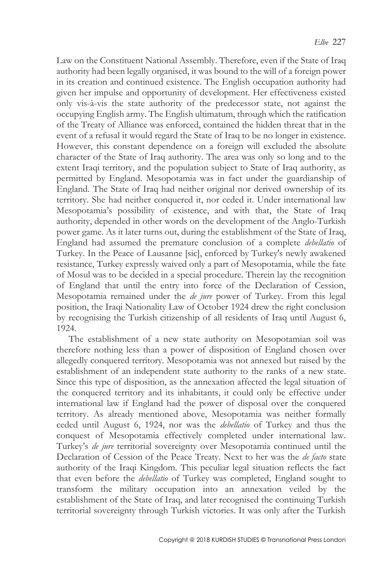Law on the Constituent National Assembly. Therefore, even if the State of Iraq authority had been legally organised, it was bound to the will of a foreign power in its creation and continued existence. The English occupation authority had given her impulse and opportunity of development. Her effectiveness existed only vis-à-vis the state authority of the predecessor state, not against the occupying English army. The English ultimatum, through which the ratification of the Treaty of Alliance was enforced, contained the hidden threat that in the event of a refusal it would regard the State of Iraq to be no longer in existence. However, this constant dependence on a foreign will excluded the absolute character of the State of Iraq authority. The area was only so long and to the extent Iraqi territory, and the population subject to State of Iraq authority, as permitted by England. Mesopotamia was in fact under the guardianship of England. The State of Iraq had neither original nor derived ownership of its territory. She had neither conquered it, nor ceded it. Under international law Mesopotamia's possibility of existence, and with that, the State of Iraq authority, depended in other words on the development of the Anglo-Turkish power game. As it later turns out, during the establishment of the State of Iraq, England had assumed the premature conclusion of a complete *debellatio* of Turkey. In the Peace of Lausanne [sic], enforced by Turkey's newly awakened resistance, Turkey expressly waived only a part of Mesopotamia, while the fate of Mosul was to be decided in a special procedure. Therein lay the recognition of England that until the entry into force of the Declaration of Cession, Mesopotamia remained under the *de jure* power of Turkey. From this legal position, the Iraqi Nationality Law of October 1924 drew the right conclusion by recognising the Turkish citizenship of all residents of Iraq until August 6, 1924.

The establishment of a new state authority on Mesopotamian soil was therefore nothing less than a power of disposition of England chosen over allegedly conquered territory. Mesopotamia was not annexed but raised by the establishment of an independent state authority to the ranks of a new state. Since this type of disposition, as the annexation affected the legal situation of the conquered territory and its inhabitants, it could only be effective under international law if England had the power of disposal over the conquered territory. As already mentioned above, Mesopotamia was neither formally ceded until August 6, 1924, nor was the *debellatio* of Turkey and thus the conquest of Mesopotamia effectively completed under international law. Turkey's *de jure* territorial sovereignty over Mesopotamia continued until the Declaration of Cession of the Peace Treaty. Next to her was the *de facto* state authority of the Iraqi Kingdom. This peculiar legal situation reflects the fact that even before the *debellatio* of Turkey was completed, England sought to transform the military occupation into an annexation veiled by the establishment of the State of Iraq, and later recognised the continuing Turkish territorial sovereignty through Turkish victories. It was only after the Turkish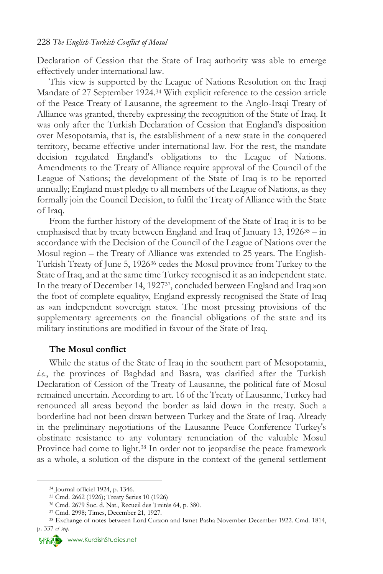Declaration of Cession that the State of Iraq authority was able to emerge effectively under international law.

This view is supported by the League of Nations Resolution on the Iraqi Mandate of 27 September 1924.<sup>34</sup> With explicit reference to the cession article of the Peace Treaty of Lausanne, the agreement to the Anglo-Iraqi Treaty of Alliance was granted, thereby expressing the recognition of the State of Iraq. It was only after the Turkish Declaration of Cession that England's disposition over Mesopotamia, that is, the establishment of a new state in the conquered territory, became effective under international law. For the rest, the mandate decision regulated England's obligations to the League of Nations. Amendments to the Treaty of Alliance require approval of the Council of the League of Nations; the development of the State of Iraq is to be reported annually; England must pledge to all members of the League of Nations, as they formally join the Council Decision, to fulfil the Treaty of Alliance with the State of Iraq.

From the further history of the development of the State of Iraq it is to be emphasised that by treaty between England and Iraq of January 13, 1926<sup>35</sup> – in accordance with the Decision of the Council of the League of Nations over the Mosul region – the Treaty of Alliance was extended to 25 years. The English-Turkish Treaty of June 5, 1926<sup>36</sup> cedes the Mosul province from Turkey to the State of Iraq, and at the same time Turkey recognised it as an independent state. In the treaty of December 14, 192737, concluded between England and Iraq »on the foot of complete equality«, England expressly recognised the State of Iraq as »an independent sovereign state«. The most pressing provisions of the supplementary agreements on the financial obligations of the state and its military institutions are modified in favour of the State of Iraq.

#### **The Mosul conflict**

While the status of the State of Iraq in the southern part of Mesopotamia, *i.e.*, the provinces of Baghdad and Basra, was clarified after the Turkish Declaration of Cession of the Treaty of Lausanne, the political fate of Mosul remained uncertain. According to art. 16 of the Treaty of Lausanne, Turkey had renounced all areas beyond the border as laid down in the treaty. Such a borderline had not been drawn between Turkey and the State of Iraq. Already in the preliminary negotiations of the Lausanne Peace Conference Turkey's obstinate resistance to any voluntary renunciation of the valuable Mosul Province had come to light.<sup>38</sup> In order not to jeopardise the peace framework as a whole, a solution of the dispute in the context of the general settlement

<sup>34</sup> Journal officiel 1924, p. 1346.

<sup>35</sup> Cmd. 2662 (1926); Treaty Series 10 (1926)

<sup>36</sup> Cmd. 2679 Soc. d. Nat., Recueil des Traités 64, p. 380.

<sup>37</sup> Cmd. 2998; Times, December 21, 1927.

<sup>38</sup> Exchange of notes between Lord Curzon and Ismet Pasha November-December 1922. Cmd. 1814, p. 337 *et seq*.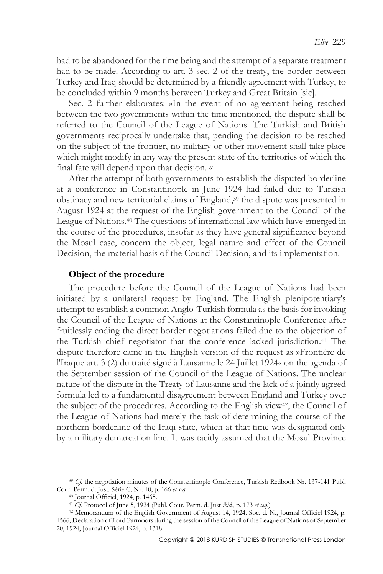had to be abandoned for the time being and the attempt of a separate treatment had to be made. According to art. 3 sec. 2 of the treaty, the border between Turkey and Iraq should be determined by a friendly agreement with Turkey, to be concluded within 9 months between Turkey and Great Britain [sic].

Sec. 2 further elaborates: »In the event of no agreement being reached between the two governments within the time mentioned, the dispute shall be referred to the Council of the League of Nations. The Turkish and British governments reciprocally undertake that, pending the decision to be reached on the subject of the frontier, no military or other movement shall take place which might modify in any way the present state of the territories of which the final fate will depend upon that decision. «

After the attempt of both governments to establish the disputed borderline at a conference in Constantinople in June 1924 had failed due to Turkish obstinacy and new territorial claims of England,<sup>39</sup> the dispute was presented in August 1924 at the request of the English government to the Council of the League of Nations.<sup>40</sup> The questions of international law which have emerged in the course of the procedures, insofar as they have general significance beyond the Mosul case, concern the object, legal nature and effect of the Council Decision, the material basis of the Council Decision, and its implementation.

#### **Object of the procedure**

The procedure before the Council of the League of Nations had been initiated by a unilateral request by England. The English plenipotentiary's attempt to establish a common Anglo-Turkish formula as the basis for invoking the Council of the League of Nations at the Constantinople Conference after fruitlessly ending the direct border negotiations failed due to the objection of the Turkish chief negotiator that the conference lacked jurisdiction.<sup>41</sup> The dispute therefore came in the English version of the request as »Frontière de l'Iraque art. 3 (2) du traité signé à Lausanne le 24 Juillet 1924« on the agenda of the September session of the Council of the League of Nations. The unclear nature of the dispute in the Treaty of Lausanne and the lack of a jointly agreed formula led to a fundamental disagreement between England and Turkey over the subject of the procedures. According to the English view<sup>42</sup>, the Council of the League of Nations had merely the task of determining the course of the northern borderline of the Iraqi state, which at that time was designated only by a military demarcation line. It was tacitly assumed that the Mosul Province

<sup>&</sup>lt;sup>39</sup> *Cf.* the negotiation minutes of the Constantinople Conference, Turkish Redbook Nr. 137-141 Publ. Cour. Perm. d. Just. Série C, Nr. 10, p. 166 *et seq*.

<sup>40</sup> Journal Officiel, 1924, p. 1465.

<sup>41</sup> *Cf.* Protocol of June 5, 1924 (Publ. Cour. Perm. d. Just *ibid*., p. 173 *et seq*.)

<sup>42</sup> Memorandum of the English Government of August 14, 1924. Soc. d. N., Journal Officiel 1924, p. 1566, Declaration of Lord Parmoors during the session of the Council of the League of Nations of September 20, 1924, Journal Officiel 1924, p. 1318.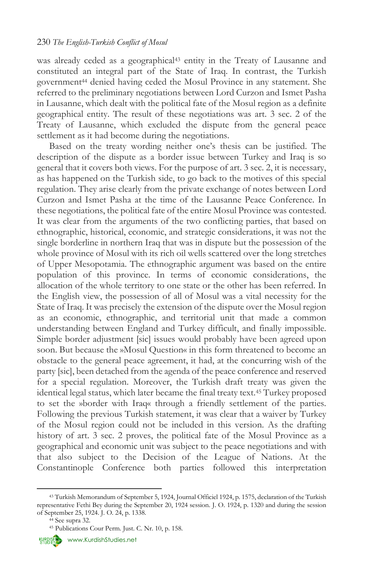was already ceded as a geographical<sup>43</sup> entity in the Treaty of Lausanne and constituted an integral part of the State of Iraq. In contrast, the Turkish government<sup>44</sup> denied having ceded the Mosul Province in any statement. She referred to the preliminary negotiations between Lord Curzon and Ismet Pasha in Lausanne, which dealt with the political fate of the Mosul region as a definite geographical entity. The result of these negotiations was art. 3 sec. 2 of the Treaty of Lausanne, which excluded the dispute from the general peace settlement as it had become during the negotiations.

Based on the treaty wording neither one's thesis can be justified. The description of the dispute as a border issue between Turkey and Iraq is so general that it covers both views. For the purpose of art. 3 sec. 2, it is necessary, as has happened on the Turkish side, to go back to the motives of this special regulation. They arise clearly from the private exchange of notes between Lord Curzon and Ismet Pasha at the time of the Lausanne Peace Conference. In these negotiations, the political fate of the entire Mosul Province was contested. It was clear from the arguments of the two conflicting parties, that based on ethnographic, historical, economic, and strategic considerations, it was not the single borderline in northern Iraq that was in dispute but the possession of the whole province of Mosul with its rich oil wells scattered over the long stretches of Upper Mesopotamia. The ethnographic argument was based on the entire population of this province. In terms of economic considerations, the allocation of the whole territory to one state or the other has been referred. In the English view, the possession of all of Mosul was a vital necessity for the State of Iraq. It was precisely the extension of the dispute over the Mosul region as an economic, ethnographic, and territorial unit that made a common understanding between England and Turkey difficult, and finally impossible. Simple border adjustment [sic] issues would probably have been agreed upon soon. But because the »Mosul Question« in this form threatened to become an obstacle to the general peace agreement, it had, at the concurring wish of the party [sic], been detached from the agenda of the peace conference and reserved for a special regulation. Moreover, the Turkish draft treaty was given the identical legal status, which later became the final treaty text.<sup>45</sup> Turkey proposed to set the »border with Iraq« through a friendly settlement of the parties. Following the previous Turkish statement, it was clear that a waiver by Turkey of the Mosul region could not be included in this version. As the drafting history of art. 3 sec. 2 proves, the political fate of the Mosul Province as a geographical and economic unit was subject to the peace negotiations and with that also subject to the Decision of the League of Nations. At the Constantinople Conference both parties followed this interpretation



<sup>43</sup> Turkish Memorandum of September 5, 1924, Journal Officiel 1924, p. 1575, declaration of the Turkish representative Fethi Bey during the September 20, 1924 session. J. O. 1924, p. 1320 and during the session of September 25, 1924. J. O. 24, p. 1338.

 $44$  See supra 32.

<sup>45</sup> Publications Cour Perm. Just. C. Nr. 10, p. 158.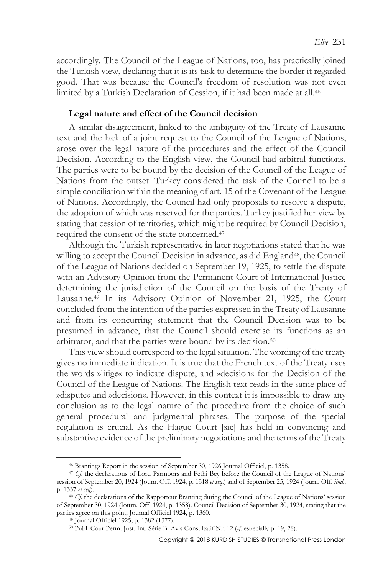accordingly. The Council of the League of Nations, too, has practically joined the Turkish view, declaring that it is its task to determine the border it regarded good. That was because the Council's freedom of resolution was not even limited by a Turkish Declaration of Cession, if it had been made at all.<sup>46</sup>

#### **Legal nature and effect of the Council decision**

A similar disagreement, linked to the ambiguity of the Treaty of Lausanne text and the lack of a joint request to the Council of the League of Nations, arose over the legal nature of the procedures and the effect of the Council Decision. According to the English view, the Council had arbitral functions. The parties were to be bound by the decision of the Council of the League of Nations from the outset. Turkey considered the task of the Council to be a simple conciliation within the meaning of art. 15 of the Covenant of the League of Nations. Accordingly, the Council had only proposals to resolve a dispute, the adoption of which was reserved for the parties. Turkey justified her view by stating that cession of territories, which might be required by Council Decision, required the consent of the state concerned.<sup>47</sup>

Although the Turkish representative in later negotiations stated that he was willing to accept the Council Decision in advance, as did England<sup>48</sup>, the Council of the League of Nations decided on September 19, 1925, to settle the dispute with an Advisory Opinion from the Permanent Court of International Justice determining the jurisdiction of the Council on the basis of the Treaty of Lausanne.<sup>49</sup> In its Advisory Opinion of November 21, 1925, the Court concluded from the intention of the parties expressed in the Treaty of Lausanne and from its concurring statement that the Council Decision was to be presumed in advance, that the Council should exercise its functions as an arbitrator, and that the parties were bound by its decision.<sup>50</sup>

This view should correspond to the legal situation. The wording of the treaty gives no immediate indication. It is true that the French text of the Treaty uses the words »litige« to indicate dispute, and »decision« for the Decision of the Council of the League of Nations. The English text reads in the same place of »dispute« and »decision«. However, in this context it is impossible to draw any conclusion as to the legal nature of the procedure from the choice of such general procedural and judgmental phrases. The purpose of the special regulation is crucial. As the Hague Court [sic] has held in convincing and substantive evidence of the preliminary negotiations and the terms of the Treaty

<sup>46</sup> Brantings Report in the session of September 30, 1926 Journal Officiel, p. 1358.

<sup>&</sup>lt;sup>47</sup> *Cf*. the declarations of Lord Parmoors and Fethi Bey before the Council of the League of Nations' session of September 20, 1924 (Journ. Off. 1924, p. 1318 *et seq*.) and of September 25, 1924 (Journ. Off. *ibid*., p. 1337 *et seq*).

<sup>&</sup>lt;sup>48</sup> *Cf*. the declarations of the Rapporteur Branting during the Council of the League of Nations' session of September 30, 1924 (Journ. Off. 1924, p. 1358). Council Decision of September 30, 1924, stating that the parties agree on this point, Journal Officiel 1924, p. 1360.

<sup>49</sup> Journal Officiel 1925, p. 1382 (1377).

<sup>50</sup> Publ. Cour Perm. Just. Int. Série B. Avis Consultatif Nr. 12 (*cf*. especially p. 19, 28).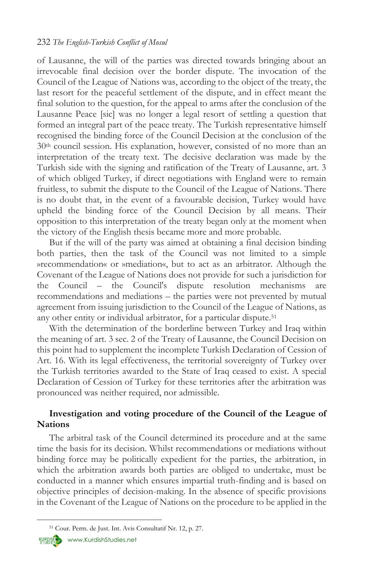of Lausanne, the will of the parties was directed towards bringing about an irrevocable final decision over the border dispute. The invocation of the Council of the League of Nations was, according to the object of the treaty, the last resort for the peaceful settlement of the dispute, and in effect meant the final solution to the question, for the appeal to arms after the conclusion of the Lausanne Peace [sic] was no longer a legal resort of settling a question that formed an integral part of the peace treaty. The Turkish representative himself recognised the binding force of the Council Decision at the conclusion of the 30th council session. His explanation, however, consisted of no more than an interpretation of the treaty text. The decisive declaration was made by the Turkish side with the signing and ratification of the Treaty of Lausanne, art. 3 of which obliged Turkey, if direct negotiations with England were to remain fruitless, to submit the dispute to the Council of the League of Nations. There is no doubt that, in the event of a favourable decision, Turkey would have upheld the binding force of the Council Decision by all means. Their opposition to this interpretation of the treaty began only at the moment when the victory of the English thesis became more and more probable.

But if the will of the party was aimed at obtaining a final decision binding both parties, then the task of the Council was not limited to a simple »recommendation« or »mediation«, but to act as an arbitrator. Although the Covenant of the League of Nations does not provide for such a jurisdiction for the Council – the Council's dispute resolution mechanisms are recommendations and mediations – the parties were not prevented by mutual agreement from issuing jurisdiction to the Council of the League of Nations, as any other entity or individual arbitrator, for a particular dispute.<sup>51</sup>

With the determination of the borderline between Turkey and Iraq within the meaning of art. 3 sec. 2 of the Treaty of Lausanne, the Council Decision on this point had to supplement the incomplete Turkish Declaration of Cession of Art. 16. With its legal effectiveness, the territorial sovereignty of Turkey over the Turkish territories awarded to the State of Iraq ceased to exist. A special Declaration of Cession of Turkey for these territories after the arbitration was pronounced was neither required, nor admissible.

## **Investigation and voting procedure of the Council of the League of Nations**

The arbitral task of the Council determined its procedure and at the same time the basis for its decision. Whilst recommendations or mediations without binding force may be politically expedient for the parties, the arbitration, in which the arbitration awards both parties are obliged to undertake, must be conducted in a manner which ensures impartial truth-finding and is based on objective principles of decision-making. In the absence of specific provisions in the Covenant of the League of Nations on the procedure to be applied in the

[www.KurdishStudies.net](http://www.kurdishstudies.net/)

<sup>51</sup> Cour. Perm. de Just. Int. Avis Consultatif Nr. 12, p. 27.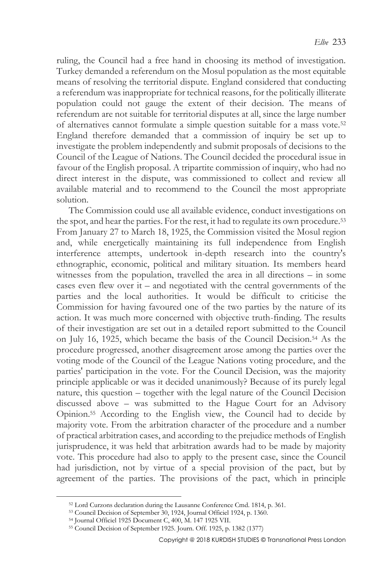ruling, the Council had a free hand in choosing its method of investigation. Turkey demanded a referendum on the Mosul population as the most equitable means of resolving the territorial dispute. England considered that conducting a referendum was inappropriate for technical reasons, for the politically illiterate population could not gauge the extent of their decision. The means of referendum are not suitable for territorial disputes at all, since the large number of alternatives cannot formulate a simple question suitable for a mass vote.<sup>52</sup> England therefore demanded that a commission of inquiry be set up to investigate the problem independently and submit proposals of decisions to the Council of the League of Nations. The Council decided the procedural issue in favour of the English proposal. A tripartite commission of inquiry, who had no direct interest in the dispute, was commissioned to collect and review all available material and to recommend to the Council the most appropriate solution.

The Commission could use all available evidence, conduct investigations on the spot, and hear the parties. For the rest, it had to regulate its own procedure.<sup>53</sup> From January 27 to March 18, 1925, the Commission visited the Mosul region and, while energetically maintaining its full independence from English interference attempts, undertook in-depth research into the country's ethnographic, economic, political and military situation. Its members heard witnesses from the population, travelled the area in all directions – in some cases even flew over it – and negotiated with the central governments of the parties and the local authorities. It would be difficult to criticise the Commission for having favoured one of the two parties by the nature of its action. It was much more concerned with objective truth-finding. The results of their investigation are set out in a detailed report submitted to the Council on July 16, 1925, which became the basis of the Council Decision.<sup>54</sup> As the procedure progressed, another disagreement arose among the parties over the voting mode of the Council of the League Nations voting procedure, and the parties' participation in the vote. For the Council Decision, was the majority principle applicable or was it decided unanimously? Because of its purely legal nature, this question – together with the legal nature of the Council Decision discussed above – was submitted to the Hague Court for an Advisory Opinion.<sup>55</sup> According to the English view, the Council had to decide by majority vote. From the arbitration character of the procedure and a number of practical arbitration cases, and according to the prejudice methods of English jurisprudence, it was held that arbitration awards had to be made by majority vote. This procedure had also to apply to the present case, since the Council had jurisdiction, not by virtue of a special provision of the pact, but by agreement of the parties. The provisions of the pact, which in principle

<sup>52</sup> Lord Curzons declaration during the Lausanne Conference Cmd. 1814, p. 361.

<sup>53</sup> Council Decision of September 30, 1924, Journal Officiel 1924, p. 1360.

<sup>54</sup> Journal Officiel 1925 Document C, 400, M. 147 1925 VII.

<sup>55</sup> Council Decision of September 1925. Journ. Off. 1925, p. 1382 (1377)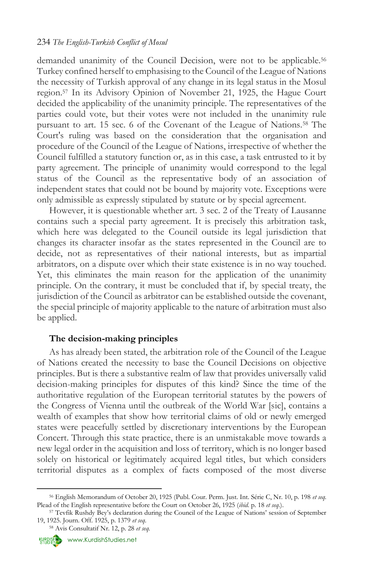demanded unanimity of the Council Decision, were not to be applicable.<sup>56</sup> Turkey confined herself to emphasising to the Council of the League of Nations the necessity of Turkish approval of any change in its legal status in the Mosul region.<sup>57</sup> In its Advisory Opinion of November 21, 1925, the Hague Court decided the applicability of the unanimity principle. The representatives of the parties could vote, but their votes were not included in the unanimity rule pursuant to art. 15 sec. 6 of the Covenant of the League of Nations.<sup>58</sup> The Court's ruling was based on the consideration that the organisation and procedure of the Council of the League of Nations, irrespective of whether the Council fulfilled a statutory function or, as in this case, a task entrusted to it by party agreement. The principle of unanimity would correspond to the legal status of the Council as the representative body of an association of independent states that could not be bound by majority vote. Exceptions were only admissible as expressly stipulated by statute or by special agreement.

However, it is questionable whether art. 3 sec. 2 of the Treaty of Lausanne contains such a special party agreement. It is precisely this arbitration task, which here was delegated to the Council outside its legal jurisdiction that changes its character insofar as the states represented in the Council are to decide, not as representatives of their national interests, but as impartial arbitrators, on a dispute over which their state existence is in no way touched. Yet, this eliminates the main reason for the application of the unanimity principle. On the contrary, it must be concluded that if, by special treaty, the jurisdiction of the Council as arbitrator can be established outside the covenant, the special principle of majority applicable to the nature of arbitration must also be applied.

## **The decision-making principles**

As has already been stated, the arbitration role of the Council of the League of Nations created the necessity to base the Council Decisions on objective principles. But is there a substantive realm of law that provides universally valid decision-making principles for disputes of this kind? Since the time of the authoritative regulation of the European territorial statutes by the powers of the Congress of Vienna until the outbreak of the World War [sic], contains a wealth of examples that show how territorial claims of old or newly emerged states were peacefully settled by discretionary interventions by the European Concert. Through this state practice, there is an unmistakable move towards a new legal order in the acquisition and loss of territory, which is no longer based solely on historical or legitimately acquired legal titles, but which considers territorial disputes as a complex of facts composed of the most diverse



<sup>56</sup> English Memorandum of October 20, 1925 (Publ. Cour. Perm. Just. Int. Série C, Nr. 10, p. 198 *et seq*. Plead of the English representative before the Court on October 26, 1925 (*ibid*. p. 18 *et seq*.).

<sup>57</sup> Tevfik Rushdy Bey's declaration during the Council of the League of Nations' session of September 19, 1925. Journ. Off. 1925, p. 1379 *et seq*.

<sup>58</sup> Avis Consultatif Nr. 12, p. 28 *et seq*.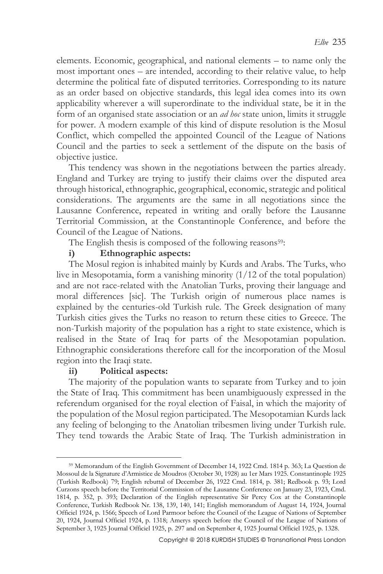elements. Economic, geographical, and national elements – to name only the most important ones – are intended, according to their relative value, to help determine the political fate of disputed territories. Corresponding to its nature as an order based on objective standards, this legal idea comes into its own applicability wherever a will superordinate to the individual state, be it in the form of an organised state association or an *ad hoc* state union, limits it struggle for power. A modern example of this kind of dispute resolution is the Mosul Conflict, which compelled the appointed Council of the League of Nations Council and the parties to seek a settlement of the dispute on the basis of objective justice.

This tendency was shown in the negotiations between the parties already. England and Turkey are trying to justify their claims over the disputed area through historical, ethnographic, geographical, economic, strategic and political considerations. The arguments are the same in all negotiations since the Lausanne Conference, repeated in writing and orally before the Lausanne Territorial Commission, at the Constantinople Conference, and before the Council of the League of Nations.

The English thesis is composed of the following reasons<sup>59</sup>:

## **i) Ethnographic aspects:**

The Mosul region is inhabited mainly by Kurds and Arabs. The Turks, who live in Mesopotamia, form a vanishing minority (1/12 of the total population) and are not race-related with the Anatolian Turks, proving their language and moral differences [sic]. The Turkish origin of numerous place names is explained by the centuries-old Turkish rule. The Greek designation of many Turkish cities gives the Turks no reason to return these cities to Greece. The non-Turkish majority of the population has a right to state existence, which is realised in the State of Iraq for parts of the Mesopotamian population. Ethnographic considerations therefore call for the incorporation of the Mosul region into the Iraqi state.

## **ii) Political aspects:**

The majority of the population wants to separate from Turkey and to join the State of Iraq. This commitment has been unambiguously expressed in the referendum organised for the royal election of Faisal, in which the majority of the population of the Mosul region participated. The Mesopotamian Kurds lack any feeling of belonging to the Anatolian tribesmen living under Turkish rule. They tend towards the Arabic State of Iraq. The Turkish administration in

 $\overline{a}$ <sup>59</sup> Memorandum of the English Government of December 14, 1922 Cmd. 1814 p. 363; La Question de Mossoul de la Signature d'Armistice de Moudros (October 30, 1928) au 1er Mars 1925. Constantinople 1925 (Turkish Redbook) 79; English rebuttal of December 26, 1922 Cmd. 1814, p. 381; Redbook p. 93; Lord Curzons speech before the Territorial Commission of the Lausanne Conference on January 23, 1923, Cmd. 1814, p. 352, p. 393; Declaration of the English representative Sir Percy Cox at the Constantinople Conference, Turkish Redbook Nr. 138, 139, 140, 141; English memorandum of August 14, 1924, Journal Officiel 1924, p. 1566; Speech of Lord Parmoor before the Council of the League of Nations of September 20, 1924, Journal Officiel 1924, p. 1318; Amerys speech before the Council of the League of Nations of September 3, 1925 Journal Officiel 1925, p. 297 and on September 4, 1925 Journal Officiel 1925, p. 1328.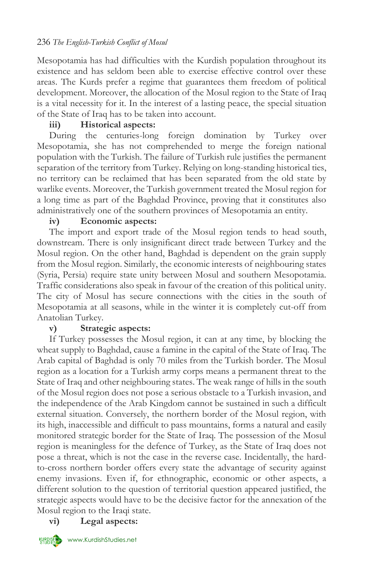## 236 *The English-Turkish Conflict of Mosul*

Mesopotamia has had difficulties with the Kurdish population throughout its existence and has seldom been able to exercise effective control over these areas. The Kurds prefer a regime that guarantees them freedom of political development. Moreover, the allocation of the Mosul region to the State of Iraq is a vital necessity for it. In the interest of a lasting peace, the special situation of the State of Iraq has to be taken into account.

## **iii) Historical aspects:**

During the centuries-long foreign domination by Turkey over Mesopotamia, she has not comprehended to merge the foreign national population with the Turkish. The failure of Turkish rule justifies the permanent separation of the territory from Turkey. Relying on long-standing historical ties, no territory can be reclaimed that has been separated from the old state by warlike events. Moreover, the Turkish government treated the Mosul region for a long time as part of the Baghdad Province, proving that it constitutes also administratively one of the southern provinces of Mesopotamia an entity.

## **iv) Economic aspects:**

The import and export trade of the Mosul region tends to head south, downstream. There is only insignificant direct trade between Turkey and the Mosul region. On the other hand, Baghdad is dependent on the grain supply from the Mosul region. Similarly, the economic interests of neighbouring states (Syria, Persia) require state unity between Mosul and southern Mesopotamia. Traffic considerations also speak in favour of the creation of this political unity. The city of Mosul has secure connections with the cities in the south of Mesopotamia at all seasons, while in the winter it is completely cut-off from Anatolian Turkey.

## **v) Strategic aspects:**

If Turkey possesses the Mosul region, it can at any time, by blocking the wheat supply to Baghdad, cause a famine in the capital of the State of Iraq. The Arab capital of Baghdad is only 70 miles from the Turkish border. The Mosul region as a location for a Turkish army corps means a permanent threat to the State of Iraq and other neighbouring states. The weak range of hills in the south of the Mosul region does not pose a serious obstacle to a Turkish invasion, and the independence of the Arab Kingdom cannot be sustained in such a difficult external situation. Conversely, the northern border of the Mosul region, with its high, inaccessible and difficult to pass mountains, forms a natural and easily monitored strategic border for the State of Iraq. The possession of the Mosul region is meaningless for the defence of Turkey, as the State of Iraq does not pose a threat, which is not the case in the reverse case. Incidentally, the hardto-cross northern border offers every state the advantage of security against enemy invasions. Even if, for ethnographic, economic or other aspects, a different solution to the question of territorial question appeared justified, the strategic aspects would have to be the decisive factor for the annexation of the Mosul region to the Iraqi state.

## **vi) Legal aspects:**



KURDISHAN [www.KurdishStudies.net](http://www.kurdishstudies.net/)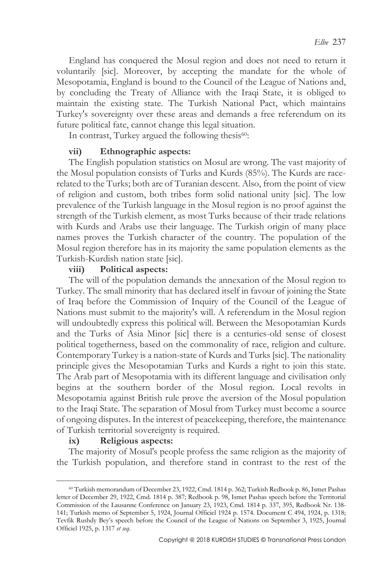England has conquered the Mosul region and does not need to return it voluntarily [sic]. Moreover, by accepting the mandate for the whole of Mesopotamia, England is bound to the Council of the League of Nations and, by concluding the Treaty of Alliance with the Iraqi State, it is obliged to maintain the existing state. The Turkish National Pact, which maintains Turkey's sovereignty over these areas and demands a free referendum on its future political fate, cannot change this legal situation.

In contrast, Turkey argued the following thesis<sup>60</sup>:

## **vii) Ethnographic aspects:**

The English population statistics on Mosul are wrong. The vast majority of the Mosul population consists of Turks and Kurds (85%). The Kurds are racerelated to the Turks; both are of Turanian descent. Also, from the point of view of religion and custom, both tribes form solid national unity [sic]. The low prevalence of the Turkish language in the Mosul region is no proof against the strength of the Turkish element, as most Turks because of their trade relations with Kurds and Arabs use their language. The Turkish origin of many place names proves the Turkish character of the country. The population of the Mosul region therefore has in its majority the same population elements as the Turkish-Kurdish nation state [sic].

#### **viii) Political aspects:**

The will of the population demands the annexation of the Mosul region to Turkey. The small minority that has declared itself in favour of joining the State of Iraq before the Commission of Inquiry of the Council of the League of Nations must submit to the majority's will. A referendum in the Mosul region will undoubtedly express this political will. Between the Mesopotamian Kurds and the Turks of Asia Minor [sic] there is a centuries-old sense of closest political togetherness, based on the commonality of race, religion and culture. Contemporary Turkey is a nation-state of Kurds and Turks [sic]. The nationality principle gives the Mesopotamian Turks and Kurds a right to join this state. The Arab part of Mesopotamia with its different language and civilisation only begins at the southern border of the Mosul region. Local revolts in Mesopotamia against British rule prove the aversion of the Mosul population to the Iraqi State. The separation of Mosul from Turkey must become a source of ongoing disputes. In the interest of peacekeeping, therefore, the maintenance of Turkish territorial sovereignty is required.

#### **ix) Religious aspects:**

 $\overline{a}$ 

The majority of Mosul's people profess the same religion as the majority of the Turkish population, and therefore stand in contrast to the rest of the

<sup>60</sup> Turkish memorandum of December 23, 1922, Cmd. 1814 p. 362; Turkish Redbook p. 86, Ismet Pashas letter of December 29, 1922, Cmd. 1814 p. 387; Redbook p. 98, Ismet Pashas speech before the Territorial Commission of the Lausanne Conference on January 23, 1923, Cmd. 1814 p. 337, 395, Redbook Nr. 138- 141; Turkish memo of September 5, 1924, Journal Officiel 1924 p. 1574. Document C 494, 1924, p. 1318; Tevfik Rushdy Bey's speech before the Council of the League of Nations on September 3, 1925, Journal Officiel 1925, p. 1317 *et seq*.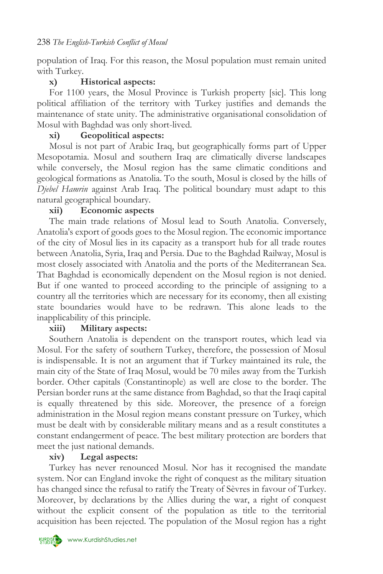population of Iraq. For this reason, the Mosul population must remain united with Turkey.

## **x) Historical aspects:**

For 1100 years, the Mosul Province is Turkish property [sic]. This long political affiliation of the territory with Turkey justifies and demands the maintenance of state unity. The administrative organisational consolidation of Mosul with Baghdad was only short-lived.

## **xi) Geopolitical aspects:**

Mosul is not part of Arabic Iraq, but geographically forms part of Upper Mesopotamia. Mosul and southern Iraq are climatically diverse landscapes while conversely, the Mosul region has the same climatic conditions and geological formations as Anatolia. To the south, Mosul is closed by the hills of *Djebel Hamrin* against Arab Iraq. The political boundary must adapt to this natural geographical boundary.

## **xii) Economic aspects**

The main trade relations of Mosul lead to South Anatolia. Conversely, Anatolia's export of goods goes to the Mosul region. The economic importance of the city of Mosul lies in its capacity as a transport hub for all trade routes between Anatolia, Syria, Iraq and Persia. Due to the Baghdad Railway, Mosul is most closely associated with Anatolia and the ports of the Mediterranean Sea. That Baghdad is economically dependent on the Mosul region is not denied. But if one wanted to proceed according to the principle of assigning to a country all the territories which are necessary for its economy, then all existing state boundaries would have to be redrawn. This alone leads to the inapplicability of this principle.

## **xiii) Military aspects:**

Southern Anatolia is dependent on the transport routes, which lead via Mosul. For the safety of southern Turkey, therefore, the possession of Mosul is indispensable. It is not an argument that if Turkey maintained its rule, the main city of the State of Iraq Mosul, would be 70 miles away from the Turkish border. Other capitals (Constantinople) as well are close to the border. The Persian border runs at the same distance from Baghdad, so that the Iraqi capital is equally threatened by this side. Moreover, the presence of a foreign administration in the Mosul region means constant pressure on Turkey, which must be dealt with by considerable military means and as a result constitutes a constant endangerment of peace. The best military protection are borders that meet the just national demands.

## **xiv) Legal aspects:**

Turkey has never renounced Mosul. Nor has it recognised the mandate system. Nor can England invoke the right of conquest as the military situation has changed since the refusal to ratify the Treaty of Sèvres in favour of Turkey. Moreover, by declarations by the Allies during the war, a right of conquest without the explicit consent of the population as title to the territorial acquisition has been rejected. The population of the Mosul region has a right

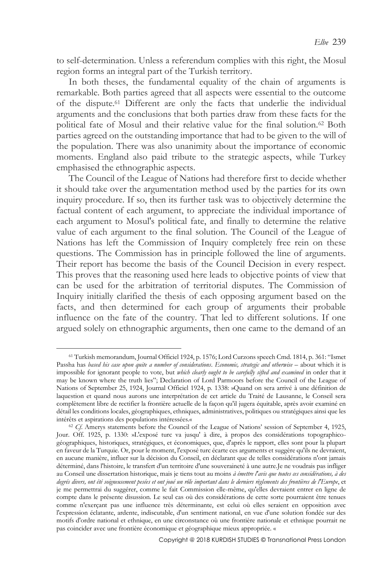to self-determination. Unless a referendum complies with this right, the Mosul region forms an integral part of the Turkish territory.

In both theses, the fundamental equality of the chain of arguments is remarkable. Both parties agreed that all aspects were essential to the outcome of the dispute.<sup>61</sup> Different are only the facts that underlie the individual arguments and the conclusions that both parties draw from these facts for the political fate of Mosul and their relative value for the final solution.<sup>62</sup> Both parties agreed on the outstanding importance that had to be given to the will of the population. There was also unanimity about the importance of economic moments. England also paid tribute to the strategic aspects, while Turkey emphasised the ethnographic aspects.

The Council of the League of Nations had therefore first to decide whether it should take over the argumentation method used by the parties for its own inquiry procedure. If so, then its further task was to objectively determine the factual content of each argument, to appreciate the individual importance of each argument to Mosul's political fate, and finally to determine the relative value of each argument to the final solution. The Council of the League of Nations has left the Commission of Inquiry completely free rein on these questions. The Commission has in principle followed the line of arguments. Their report has become the basis of the Council Decision in every respect. This proves that the reasoning used here leads to objective points of view that can be used for the arbitration of territorial disputes. The Commission of Inquiry initially clarified the thesis of each opposing argument based on the facts, and then determined for each group of arguments their probable influence on the fate of the country. That led to different solutions. If one argued solely on ethnographic arguments, then one came to the demand of an

<sup>61</sup> Turkish memorandum, Journal Officiel 1924, p. 1576; Lord Curzons speech Cmd. 1814, p. 361: "Ismet Passha has *based his case upon quite a number of considerations*. *Economic, strategic and otherwise* – about which it is impossible for ignorant people to vote, but *which clearly ought to be carefully sifted and examined* in order that it may be known where the truth lies"; Declaration of Lord Parmoors before the Council of the League of Nations of September 25, 1924, Journal Officiel 1924, p. 1338: »Quand on sera arrivé à une définition de laquestion et quand nous aurons une interprétation de cet article du Traité de Lausanne, le Conseil sera complètement libre de rectifier la frontière actuelle de la façon qu'il jugera équitable, après avoir examiné en détail les conditions locales, géographiques, ethniques, administratives, politiques ou stratégiques ainsi que les intérêts et aspirations des populations intéressées.«

<sup>&</sup>lt;sup>62</sup> *Cf*. Amerys statements before the Council of the League of Nations' session of September 4, 1925, Jour. Off. 1925, p. 1330: »L'exposé turc va jusqu' à dire, à propos des considérations topographicogéographiques, historiques, stratégiques, et économiques, que, d'après le rapport, elles sont pour la plupart en faveur de la Turquie. Or, pour le moment, l'exposé turc écarte ces arguments et suggère qu'ils ne devraient, en aucune manière, influer sur la décision du Conseil, en déclarant que de telles considérations n'ont jamais déterminé, dans l'histoire, le transfert d'un territoire d'une souveraineté à une autre.Je ne voudrais pas infliger au Conseil une dissertation historique, mais je tiens tout au moins *à émettre l'avis que toutes ces considérations, à des degrés divers, ont été soigneusement pesées et ont joué un rôle important dans le derniers règlements des frontières de l'Europe*, et je me permettrai du suggérer, comme le fait Commission elle-même, qu'elles devraient entrer en ligne de compte dans le présente disussion. Le seul cas où des considérations de cette sorte pourraient être tenues comme n'exerçant pas une influence très déterminante, est celui où elles seraient en opposition avec l'expression éclatante, ardente, indiscutable, d'un sentiment national, en vue d'une solution fondée sur des motifs d'ordre national et ethnique, en une circonstance où une frontière nationale et ethnique pourrait ne pas coincider avec une frontière économique et géographique mieux appropriée. «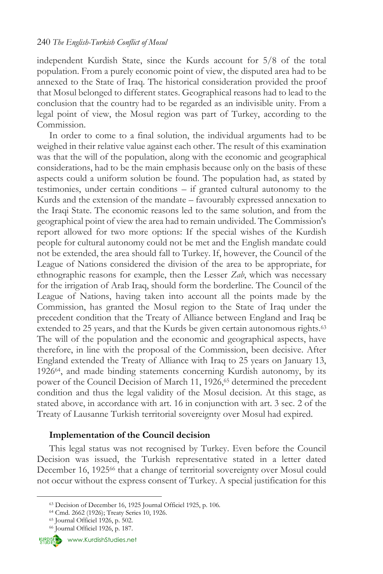independent Kurdish State, since the Kurds account for 5/8 of the total population. From a purely economic point of view, the disputed area had to be annexed to the State of Iraq. The historical consideration provided the proof that Mosul belonged to different states. Geographical reasons had to lead to the conclusion that the country had to be regarded as an indivisible unity. From a legal point of view, the Mosul region was part of Turkey, according to the Commission.

In order to come to a final solution, the individual arguments had to be weighed in their relative value against each other. The result of this examination was that the will of the population, along with the economic and geographical considerations, had to be the main emphasis because only on the basis of these aspects could a uniform solution be found. The population had, as stated by testimonies, under certain conditions – if granted cultural autonomy to the Kurds and the extension of the mandate – favourably expressed annexation to the Iraqi State. The economic reasons led to the same solution, and from the geographical point of view the area had to remain undivided. The Commission's report allowed for two more options: If the special wishes of the Kurdish people for cultural autonomy could not be met and the English mandate could not be extended, the area should fall to Turkey. If, however, the Council of the League of Nations considered the division of the area to be appropriate, for ethnographic reasons for example, then the Lesser *Zab*, which was necessary for the irrigation of Arab Iraq, should form the borderline. The Council of the League of Nations, having taken into account all the points made by the Commission, has granted the Mosul region to the State of Iraq under the precedent condition that the Treaty of Alliance between England and Iraq be extended to 25 years, and that the Kurds be given certain autonomous rights.<sup>63</sup> The will of the population and the economic and geographical aspects, have therefore, in line with the proposal of the Commission, been decisive. After England extended the Treaty of Alliance with Iraq to 25 years on January 13, 192664, and made binding statements concerning Kurdish autonomy, by its power of the Council Decision of March 11, 1926,<sup>65</sup> determined the precedent condition and thus the legal validity of the Mosul decision. At this stage, as stated above, in accordance with art. 16 in conjunction with art. 3 sec. 2 of the Treaty of Lausanne Turkish territorial sovereignty over Mosul had expired.

#### **Implementation of the Council decision**

This legal status was not recognised by Turkey. Even before the Council Decision was issued, the Turkish representative stated in a letter dated December 16, 1925<sup>66</sup> that a change of territorial sovereignty over Mosul could not occur without the express consent of Turkey. A special justification for this



<sup>63</sup> Decision of December 16, 1925 Journal Officiel 1925, p. 106.

<sup>64</sup> Cmd. 2662 (1926); Treaty Series 10, 1926.

<sup>65</sup> Journal Officiel 1926, p. 502.

<sup>66</sup> Journal Officiel 1926, p. 187.